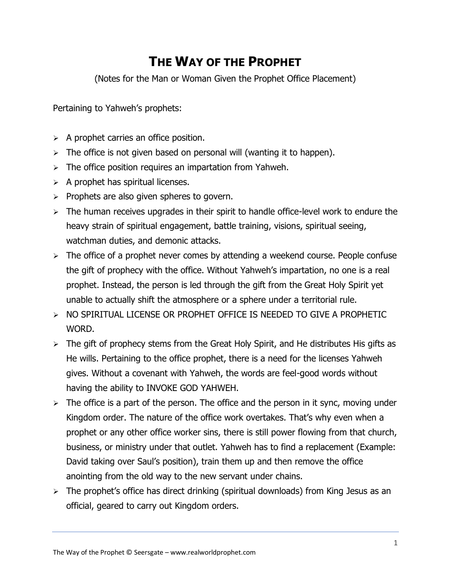## **THE WAY OF THE PROPHET**

(Notes for the Man or Woman Given the Prophet Office Placement)

Pertaining to Yahweh's prophets:

- $\triangleright$  A prophet carries an office position.
- $\triangleright$  The office is not given based on personal will (wanting it to happen).
- $\triangleright$  The office position requires an impartation from Yahweh.
- $\triangleright$  A prophet has spiritual licenses.
- $\triangleright$  Prophets are also given spheres to govern.
- $\triangleright$  The human receives upgrades in their spirit to handle office-level work to endure the heavy strain of spiritual engagement, battle training, visions, spiritual seeing, watchman duties, and demonic attacks.
- $\triangleright$  The office of a prophet never comes by attending a weekend course. People confuse the gift of prophecy with the office. Without Yahweh's impartation, no one is a real prophet. Instead, the person is led through the gift from the Great Holy Spirit yet unable to actually shift the atmosphere or a sphere under a territorial rule.
- ➢ NO SPIRITUAL LICENSE OR PROPHET OFFICE IS NEEDED TO GIVE A PROPHETIC WORD.
- $\triangleright$  The gift of prophecy stems from the Great Holy Spirit, and He distributes His gifts as He wills. Pertaining to the office prophet, there is a need for the licenses Yahweh gives. Without a covenant with Yahweh, the words are feel-good words without having the ability to INVOKE GOD YAHWEH.
- $\triangleright$  The office is a part of the person. The office and the person in it sync, moving under Kingdom order. The nature of the office work overtakes. That's why even when a prophet or any other office worker sins, there is still power flowing from that church, business, or ministry under that outlet. Yahweh has to find a replacement (Example: David taking over Saul's position), train them up and then remove the office anointing from the old way to the new servant under chains.
- $\geq$  The prophet's office has direct drinking (spiritual downloads) from King Jesus as an official, geared to carry out Kingdom orders.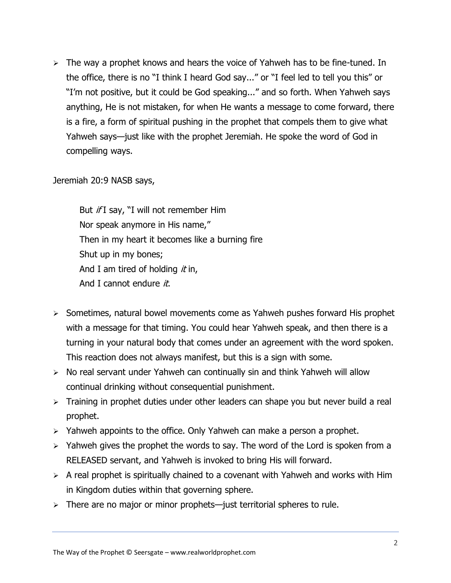$\triangleright$  The way a prophet knows and hears the voice of Yahweh has to be fine-tuned. In the office, there is no "I think I heard God say..." or "I feel led to tell you this" or "I'm not positive, but it could be God speaking..." and so forth. When Yahweh says anything, He is not mistaken, for when He wants a message to come forward, there is a fire, a form of spiritual pushing in the prophet that compels them to give what Yahweh says—just like with the prophet Jeremiah. He spoke the word of God in compelling ways.

Jeremiah 20:9 NASB says,

But *if* I say, "I will not remember Him Nor speak anymore in His name," Then in my heart it becomes like a burning fire Shut up in my bones; And I am tired of holding  $it$  in, And I cannot endure  $it$ .

- ➢ Sometimes, natural bowel movements come as Yahweh pushes forward His prophet with a message for that timing. You could hear Yahweh speak, and then there is a turning in your natural body that comes under an agreement with the word spoken. This reaction does not always manifest, but this is a sign with some.
- ➢ No real servant under Yahweh can continually sin and think Yahweh will allow continual drinking without consequential punishment.
- ➢ Training in prophet duties under other leaders can shape you but never build a real prophet.
- $\geq$  Yahweh appoints to the office. Only Yahweh can make a person a prophet.
- $\geq$  Yahweh gives the prophet the words to say. The word of the Lord is spoken from a RELEASED servant, and Yahweh is invoked to bring His will forward.
- $\triangleright$  A real prophet is spiritually chained to a covenant with Yahweh and works with Him in Kingdom duties within that governing sphere.
- $\triangleright$  There are no major or minor prophets—just territorial spheres to rule.